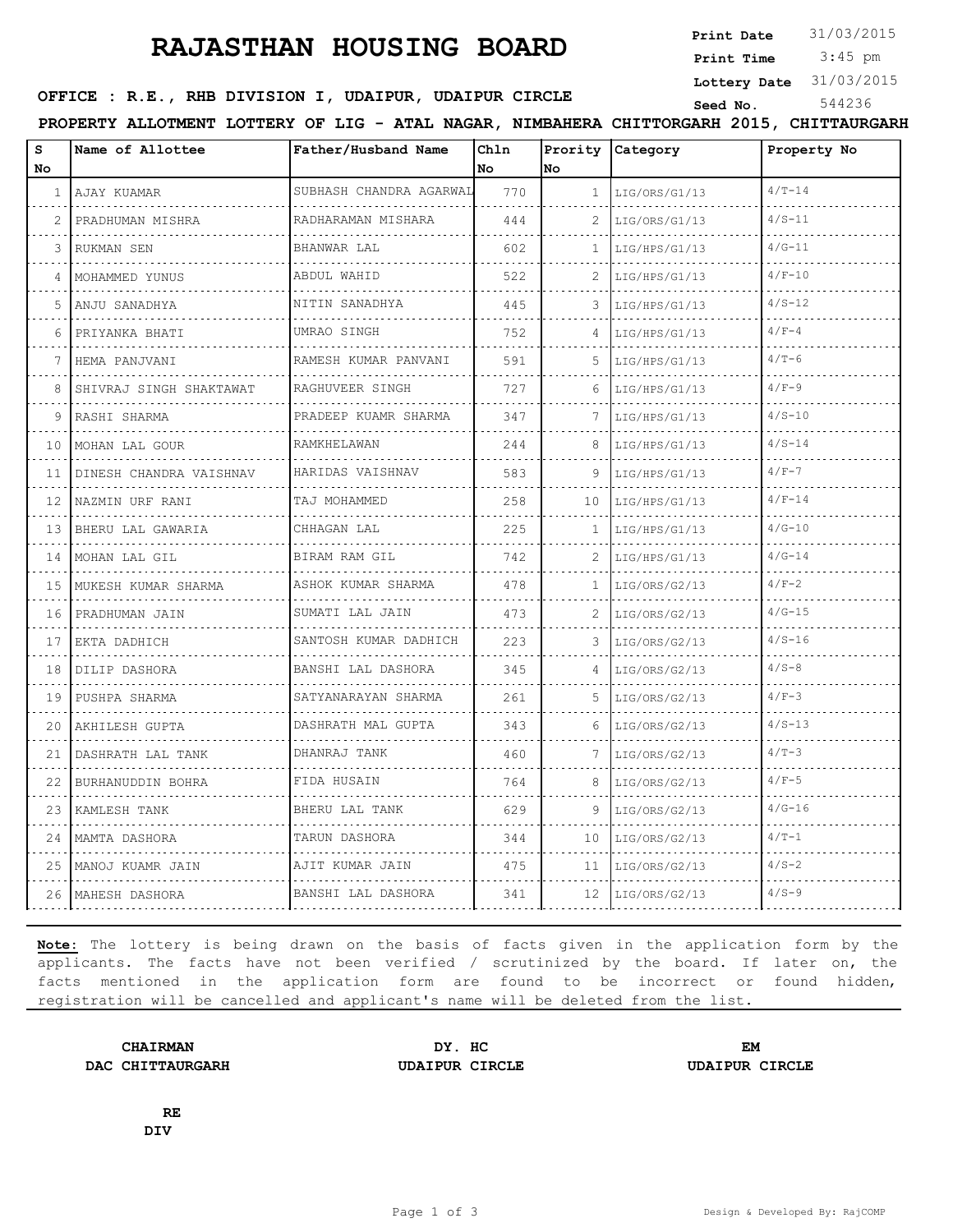## **RAJASTHAN HOUSING BOARD**

**Print Date**  $31/03/2015$ 

 3:45 pm **Print Time**

**Lottery Date** 31/03/2015

| OFFICE : R.E., RHB DIVISION I, UDAIPUR, UDAIPUR CIRCLE | Seed No | 544236 |
|--------------------------------------------------------|---------|--------|
|--------------------------------------------------------|---------|--------|

**PROPERTY ALLOTMENT LOTTERY OF LIG - ATAL NAGAR, NIMBAHERA CHITTORGARH 2015, CHITTAURGARH**

| S<br>No.     | Name of Allottee        | Father/Husband Name       | Chln<br>No | No           | Prority Category | Property No |
|--------------|-------------------------|---------------------------|------------|--------------|------------------|-------------|
| $\mathbf{1}$ | AJAY KUAMAR             | SUBHASH CHANDRA AGARWAL   | 770        | $\mathbf{1}$ | LIG/ORS/G1/13    | $4/T - 14$  |
|              | PRADHUMAN MISHRA        | RADHARAMAN MISHARA        | 444        |              | LIG/ORS/G1/13    | $4/S - 11$  |
| 3            | RUKMAN SEN              | BHANWAR LAL               | 602        | 1            | LIG/HPS/G1/13    | $4/G - 11$  |
| 4            | MOHAMMED YUNUS          | ABDUL WAHID<br>.          | 522        | 2            | LIG/HPS/G1/13    | $4/F-10$    |
| 5            | ANJU SANADHYA           | NITIN SANADHYA            | 445        | 3            | LIG/HPS/G1/13    | $4/S - 12$  |
| 6            | PRIYANKA BHATI          | UMRAO SINGH               | 752        | 4            | LIG/HPS/G1/13    | $4/F-4$     |
| 7            | HEMA PANJVANI           | RAMESH KUMAR PANVANI<br>. | 591        | .5.          | LIG/HPS/G1/13    | $4/T-6$     |
| 8            | SHIVRAJ SINGH SHAKTAWAT | RAGHUVEER SINGH           | 727        | 6            | LIG/HPS/G1/13    | $4/F-9$     |
| 9            | RASHI SHARMA            | PRADEEP KUAMR SHARMA      | 347        | 7            | LIG/HPS/G1/13    | $4/S - 10$  |
| 10           | MOHAN LAL GOUR          | RAMKHELAWAN               | 244        | 8            | LIG/HPS/G1/13    | $4/S - 14$  |
| 11           | DINESH CHANDRA VAISHNAV | HARIDAS VAISHNAV          | 583        | 9            | LIG/HPS/G1/13    | $4/F-7$     |
| 12           | NAZMIN URF RANI         | TAJ MOHAMMED              | 258        | 10           | LIG/HPS/G1/13    | $4/F-14$    |
| 13           | BHERU LAL GAWARIA       | CHHAGAN LAL               | 225        | 1.           | LIG/HPS/G1/13    | $4/G - 10$  |
| 14           | MOHAN LAL GIL           | BIRAM RAM GIL             | 742        | 2            | LIG/HPS/G1/13    | $4/G - 14$  |
| 15           | MUKESH KUMAR SHARMA     | ASHOK KUMAR SHARMA        | 478        | 1            | LIG/ORS/G2/13    | $4/F-2$     |
| 16           | PRADHUMAN JAIN          | SUMATI LAL JAIN<br>.      | 473        | 2            | LIG/ORS/G2/13    | $4/G - 15$  |
| 17           | EKTA DADHICH            | SANTOSH KUMAR DADHICH     | 223        | 3            | LIG/ORS/G2/13    | $4/S - 16$  |
| 18           | DILIP DASHORA           | BANSHI LAL DASHORA        | 345        | 4            | LIG/ORS/G2/13    | $4/S-8$     |
| 19           | PUSHPA SHARMA           | SATYANARAYAN SHARMA<br>.  | 261        | 5            | LIG/ORS/G2/13    | $4/F-3$     |
| 20           | AKHILESH GUPTA          | DASHRATH MAL GUPTA        | 343        | 6            | LIG/ORS/G2/13    | $4/S - 13$  |
| 21           | DASHRATH LAL TANK       | DHANRAJ TANK              | 460        | 7            | LIG/ORS/G2/13    | $4/T-3$     |
| 22           | BURHANUDDIN BOHRA       | FIDA HUSAIN               | 764        | 8            | LIG/ORS/G2/13    | $4/F-5$     |
| 23           | KAMLESH TANK            | BHERU LAL TANK            | 629        | 9            | LIG/ORS/G2/13    | $4/G - 16$  |
| 24           | MAMTA DASHORA           | TARUN DASHORA             | 344        | 10           | LIG/ORS/G2/13    | $4/T-1$     |
| 25           | MANOJ KUAMR JAIN        | AJIT KUMAR JAIN           | 475        | 11           | LIG/ORS/G2/13    | $4/S - 2$   |
|              | 26 IMAHESH DASHORA      | BANSHI LAL DASHORA        | 341        | 12           | LIG/ORS/G2/13    | $4/S - 9$   |

**Note:** The lottery is being drawn on the basis of facts given in the application form by the applicants. The facts have not been verified / scrutinized by the board. If later on, the facts mentioned in the application form are found to be incorrect or found hidden, registration will be cancelled and applicant's name will be deleted from the list.

**DAC CHITTAURGARH UDAIPUR CIRCLE UDAIPUR CIRCLE**

**CHAIRMAN DY. HC EM**

**RE DIV**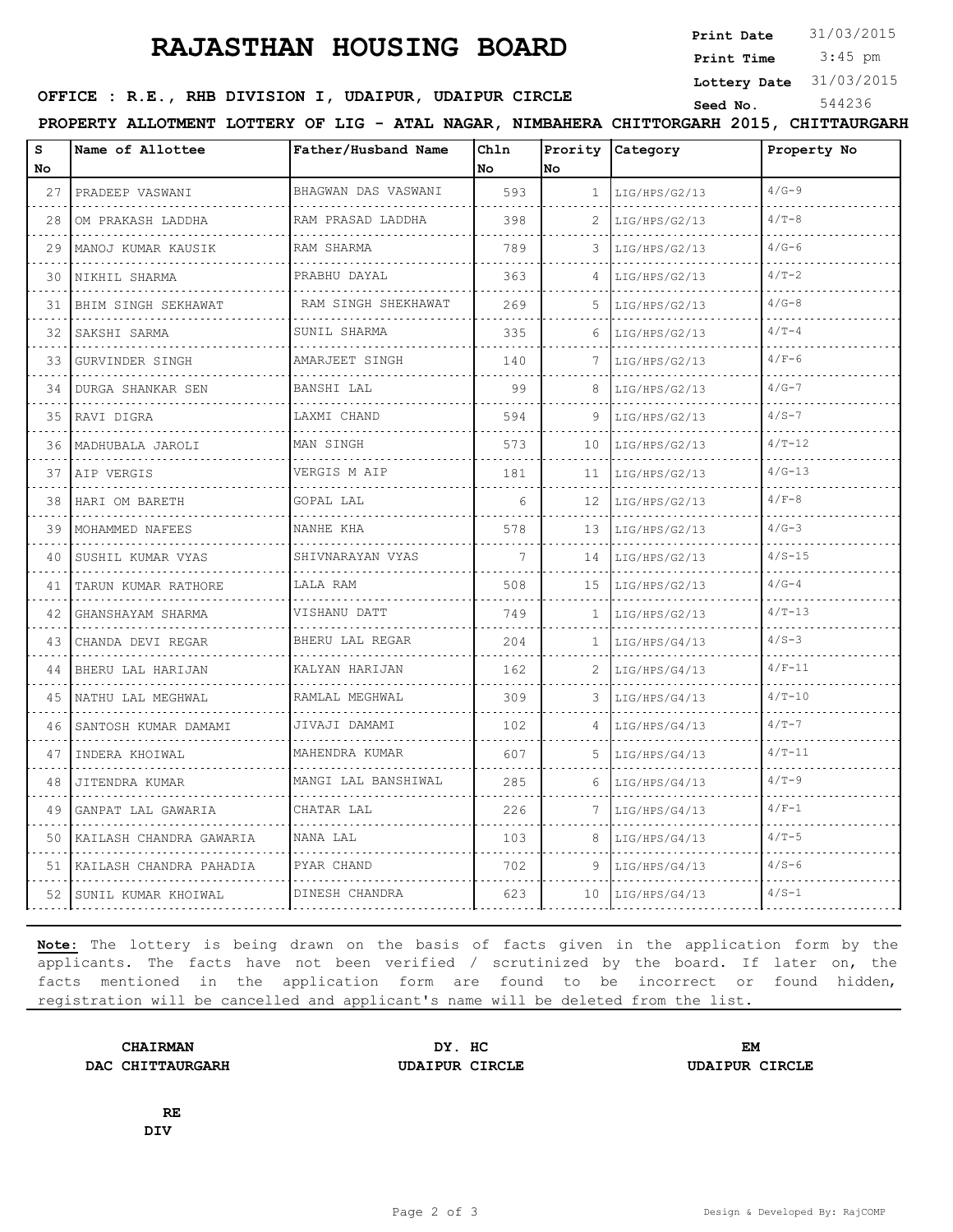## **RAJASTHAN HOUSING BOARD**

**Print Date**  $31/03/2015$ 

 3:45 pm **Print Time**

**Lottery Date** 31/03/2015

|  |  |  |  | OFFICE : R.E., RHB DIVISION I, UDAIPUR, UDAIPUR CIRCLE |  |  |  |  | Seed No | 544236 |
|--|--|--|--|--------------------------------------------------------|--|--|--|--|---------|--------|
|--|--|--|--|--------------------------------------------------------|--|--|--|--|---------|--------|

**PROPERTY ALLOTMENT LOTTERY OF LIG - ATAL NAGAR, NIMBAHERA CHITTORGARH 2015, CHITTAURGARH**

| S<br>No | Name of Allottee             | Father/Husband Name  | Chln<br>No | No           | Prority Category   | Property No |
|---------|------------------------------|----------------------|------------|--------------|--------------------|-------------|
| 27      | PRADEEP VASWANI              | BHAGWAN DAS VASWANI  | 593        | $\mathbf{1}$ | LIG/HPS/G2/13      | $4/G-9$     |
| 28      | .<br>OM PRAKASH LADDHA       | RAM PRASAD LADDHA    | 398        |              | LIG/HPS/G2/13      | $4/T-8$     |
| 29      | .<br>MANOJ KUMAR KAUSIK      | RAM SHARMA           | 789        | 3            | .<br>LIG/HPS/G2/13 | $4/G - 6$   |
| 30      | NIKHIL SHARMA                | PRABHU DAYAL         | 363        |              | LIG/HPS/G2/13      | $4/T-2$     |
| 31      | BHIM SINGH SEKHAWAT          | RAM SINGH SHEKHAWAT  | 269        | 5.           | LIG/HPS/G2/13      | $4/G - 8$   |
| 32      | SAKSHI SARMA                 | SUNIL SHARMA         | 335        |              | LIG/HPS/G2/13      | $4/T-4$     |
| 33      | GURVINDER SINGH              | AMARJEET SINGH       | 140        | 7            | .<br>LIG/HPS/G2/13 | $4/F-6$     |
| 34      | .<br>DURGA SHANKAR SEN       | .<br>BANSHI LAL      | 99         | 8            | LIG/HPS/G2/13      | $4/G - 7$   |
| 35      | RAVI DIGRA                   | LAXMI CHAND          | 594        | 9            | LIG/HPS/G2/13      | $4/S - 7$   |
| 36      | MADHUBALA JAROLI             | MAN SINGH            | 573        | 10           | LIG/HPS/G2/13      | $4/T - 12$  |
| 37      | AIP VERGIS                   | VERGIS M AIP         | 181        | 11           | LIG/HPS/G2/13      | $4/G - 13$  |
| 38      | HARI OM BARETH               | GOPAL LAL            | 6          | 12           | LIG/HPS/G2/13      | $4/F-8$     |
| 39      | MOHAMMED NAFEES              | NANHE KHA            | 578        | 13           | LIG/HPS/G2/13      | $4/G-3$     |
| 40      | SUSHIL KUMAR VYAS<br>.       | SHIVNARAYAN VYAS     | 7          | 14           | LIG/HPS/G2/13      | $4/S - 15$  |
| 41      | TARUN KUMAR RATHORE          | LALA RAM             | 508        | 15           | LIG/HPS/G2/13      | $4/G-4$     |
| 42      | GHANSHAYAM SHARMA            | VISHANU DATT<br>.    | 749        | 1.           | LIG/HPS/G2/13<br>. | $4/T - 13$  |
| 43      | CHANDA DEVI REGAR<br>.       | BHERU LAL REGAR<br>. | 204        | $\mathbf{1}$ | LIG/HPS/G4/13      | $4/S - 3$   |
| 44      | BHERU LAL HARIJAN            | KALYAN HARIJAN       | 162        | 2            | LIG/HPS/G4/13      | $4/F-11$    |
| 45 I    | NATHU LAL MEGHWAL            | RAMLAL MEGHWAL<br>.  | 309        | 3            | LIG/HPS/G4/13      | $4/T - 10$  |
| 46      | SANTOSH KUMAR DAMAMI         | JIVAJI DAMAMI        | 102        | 4            | LIG/HPS/G4/13      | $4/T-7$     |
| 47      | INDERA KHOIWAL               | MAHENDRA KUMAR       | 607        | 5.           | LIG/HPS/G4/13      | $4/T - 11$  |
| 48      | JITENDRA KUMAR               | MANGI LAL BANSHIWAL  | 285        | 6            | LIG/HPS/G4/13      | $4/T-9$     |
| 49      | GANPAT LAL GAWARIA           | CHATAR LAL           | 226        |              | LIG/HPS/G4/13      | $4/F-1$     |
| 50      | KAILASH CHANDRA GAWARIA<br>. | NANA LAL             | 103        | 8            | LIG/HPS/G4/13      | $4/T-5$     |
|         | 51   KAILASH CHANDRA PAHADIA | PYAR CHAND           | 702        | 9            | LIG/HPS/G4/13      | $4/S - 6$   |
|         | 52 SUNIL KUMAR KHOIWAL       | DINESH CHANDRA       | 623        | 10           | LIG/HPS/G4/13      | $4/S-1$     |

**Note:** The lottery is being drawn on the basis of facts given in the application form by the applicants. The facts have not been verified / scrutinized by the board. If later on, the facts mentioned in the application form are found to be incorrect or found hidden, registration will be cancelled and applicant's name will be deleted from the list.

**DAC CHITTAURGARH UDAIPUR CIRCLE UDAIPUR CIRCLE**

**CHAIRMAN DY. HC EM**

**RE DIV**